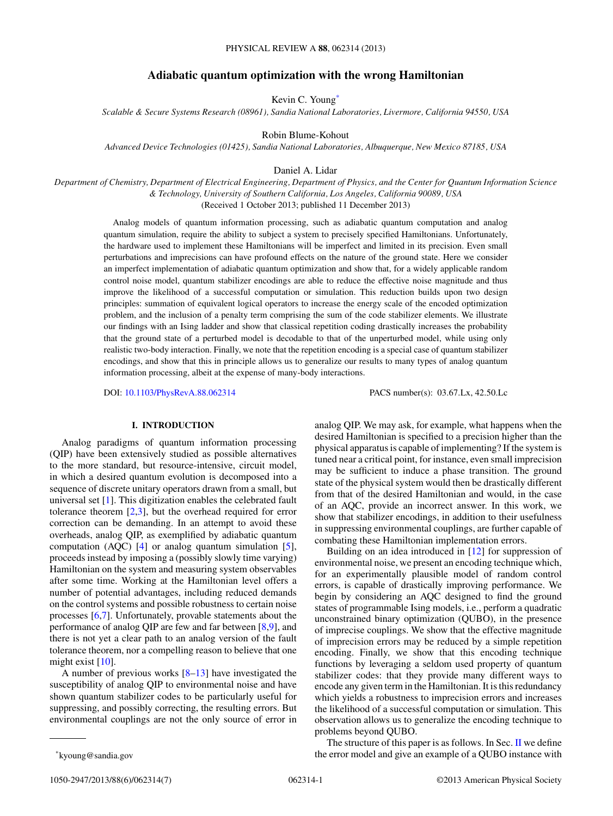# **Adiabatic quantum optimization with the wrong Hamiltonian**

Kevin C. Young\*

*Scalable & Secure Systems Research (08961), Sandia National Laboratories, Livermore, California 94550, USA*

Robin Blume-Kohout

*Advanced Device Technologies (01425), Sandia National Laboratories, Albuquerque, New Mexico 87185, USA*

Daniel A. Lidar

*Department of Chemistry, Department of Electrical Engineering, Department of Physics, and the Center for Quantum Information Science & Technology, University of Southern California, Los Angeles, California 90089, USA* (Received 1 October 2013; published 11 December 2013)

Analog models of quantum information processing, such as adiabatic quantum computation and analog quantum simulation, require the ability to subject a system to precisely specified Hamiltonians. Unfortunately, the hardware used to implement these Hamiltonians will be imperfect and limited in its precision. Even small perturbations and imprecisions can have profound effects on the nature of the ground state. Here we consider an imperfect implementation of adiabatic quantum optimization and show that, for a widely applicable random control noise model, quantum stabilizer encodings are able to reduce the effective noise magnitude and thus improve the likelihood of a successful computation or simulation. This reduction builds upon two design principles: summation of equivalent logical operators to increase the energy scale of the encoded optimization problem, and the inclusion of a penalty term comprising the sum of the code stabilizer elements. We illustrate our findings with an Ising ladder and show that classical repetition coding drastically increases the probability that the ground state of a perturbed model is decodable to that of the unperturbed model, while using only realistic two-body interaction. Finally, we note that the repetition encoding is a special case of quantum stabilizer encodings, and show that this in principle allows us to generalize our results to many types of analog quantum information processing, albeit at the expense of many-body interactions.

DOI: [10.1103/PhysRevA.88.062314](http://dx.doi.org/10.1103/PhysRevA.88.062314) PACS number(s): 03*.*67*.*Lx, 42*.*50*.*Lc

## **I. INTRODUCTION**

Analog paradigms of quantum information processing (QIP) have been extensively studied as possible alternatives to the more standard, but resource-intensive, circuit model, in which a desired quantum evolution is decomposed into a sequence of discrete unitary operators drawn from a small, but universal set [\[1\]](#page-5-0). This digitization enables the celebrated fault tolerance theorem [\[2,3\]](#page-5-0), but the overhead required for error correction can be demanding. In an attempt to avoid these overheads, analog QIP, as exemplified by adiabatic quantum computation (AQC)  $[4]$  or analog quantum simulation  $[5]$ , proceeds instead by imposing a (possibly slowly time varying) Hamiltonian on the system and measuring system observables after some time. Working at the Hamiltonian level offers a number of potential advantages, including reduced demands on the control systems and possible robustness to certain noise processes [\[6,7\]](#page-6-0). Unfortunately, provable statements about the performance of analog QIP are few and far between [\[8,9\]](#page-6-0), and there is not yet a clear path to an analog version of the fault tolerance theorem, nor a compelling reason to believe that one might exist [\[10\]](#page-6-0).

A number of previous works [\[8–13\]](#page-6-0) have investigated the susceptibility of analog QIP to environmental noise and have shown quantum stabilizer codes to be particularly useful for suppressing, and possibly correcting, the resulting errors. But environmental couplings are not the only source of error in

Building on an idea introduced in [\[12\]](#page-6-0) for suppression of environmental noise, we present an encoding technique which, for an experimentally plausible model of random control errors, is capable of drastically improving performance. We begin by considering an AQC designed to find the ground states of programmable Ising models, i.e., perform a quadratic unconstrained binary optimization (QUBO), in the presence of imprecise couplings. We show that the effective magnitude of imprecision errors may be reduced by a simple repetition encoding. Finally, we show that this encoding technique functions by leveraging a seldom used property of quantum stabilizer codes: that they provide many different ways to encode any given term in the Hamiltonian. It is this redundancy which yields a robustness to imprecision errors and increases the likelihood of a successful computation or simulation. This observation allows us to generalize the encoding technique to problems beyond QUBO.

The structure of this paper is as follows. In Sec. [II](#page-1-0) we define the error model and give an example of a QUBO instance with

analog QIP. We may ask, for example, what happens when the desired Hamiltonian is specified to a precision higher than the physical apparatus is capable of implementing? If the system is tuned near a critical point, for instance, even small imprecision may be sufficient to induce a phase transition. The ground state of the physical system would then be drastically different from that of the desired Hamiltonian and would, in the case of an AQC, provide an incorrect answer. In this work, we show that stabilizer encodings, in addition to their usefulness in suppressing environmental couplings, are further capable of combating these Hamiltonian implementation errors.

<sup>\*</sup>kyoung@sandia.gov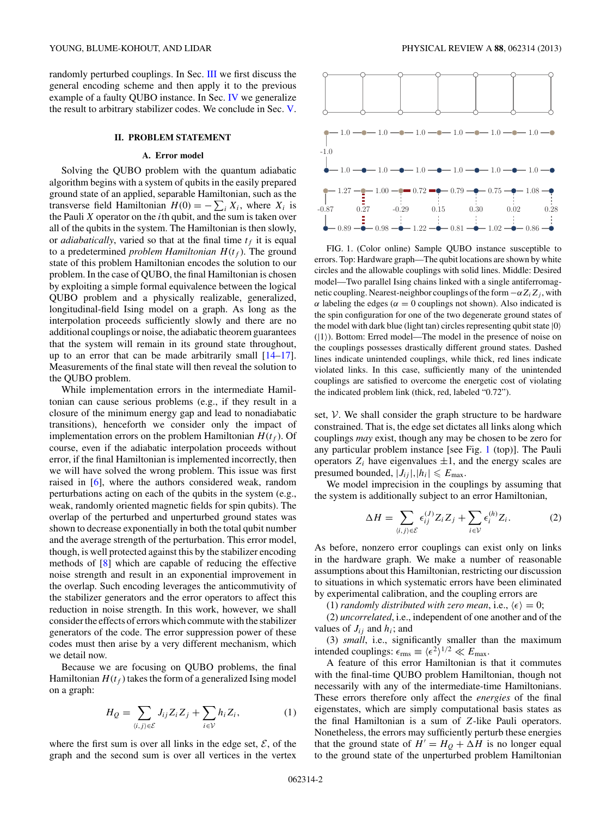<span id="page-1-0"></span>randomly perturbed couplings. In Sec. [III](#page-2-0) we first discuss the general encoding scheme and then apply it to the previous example of a faulty QUBO instance. In Sec. [IV](#page-3-0) we generalize the result to arbitrary stabilizer codes. We conclude in Sec. [V.](#page-4-0)

#### **II. PROBLEM STATEMENT**

## **A. Error model**

Solving the QUBO problem with the quantum adiabatic algorithm begins with a system of qubits in the easily prepared ground state of an applied, separable Hamiltonian, such as the transverse field Hamiltonian  $H(0) = -\sum_i X_i$ , where  $X_i$  is the Pauli *X* operator on the *i*th qubit, and the sum is taken over all of the qubits in the system. The Hamiltonian is then slowly, or *adiabatically*, varied so that at the final time  $t_f$  it is equal to a predetermined *problem Hamiltonian*  $H(t_f)$ . The ground state of this problem Hamiltonian encodes the solution to our problem. In the case of QUBO, the final Hamiltonian is chosen by exploiting a simple formal equivalence between the logical QUBO problem and a physically realizable, generalized, longitudinal-field Ising model on a graph. As long as the interpolation proceeds sufficiently slowly and there are no additional couplings or noise, the adiabatic theorem guarantees that the system will remain in its ground state throughout, up to an error that can be made arbitrarily small [\[14–17\]](#page-6-0). Measurements of the final state will then reveal the solution to the QUBO problem.

While implementation errors in the intermediate Hamiltonian can cause serious problems (e.g., if they result in a closure of the minimum energy gap and lead to nonadiabatic transitions), henceforth we consider only the impact of implementation errors on the problem Hamiltonian  $H(t_f)$ . Of course, even if the adiabatic interpolation proceeds without error, if the final Hamiltonian is implemented incorrectly, then we will have solved the wrong problem. This issue was first raised in [\[6\]](#page-6-0), where the authors considered weak, random perturbations acting on each of the qubits in the system (e.g., weak, randomly oriented magnetic fields for spin qubits). The overlap of the perturbed and unperturbed ground states was shown to decrease exponentially in both the total qubit number and the average strength of the perturbation. This error model, though, is well protected against this by the stabilizer encoding methods of [\[8\]](#page-6-0) which are capable of reducing the effective noise strength and result in an exponential improvement in the overlap. Such encoding leverages the anticommutivity of the stabilizer generators and the error operators to affect this reduction in noise strength. In this work, however, we shall consider the effects of errors which commute with the stabilizer generators of the code. The error suppression power of these codes must then arise by a very different mechanism, which we detail now.

Because we are focusing on QUBO problems, the final Hamiltonian  $H(t_f)$  takes the form of a generalized Ising model on a graph:

$$
H_Q = \sum_{\langle i,j \rangle \in \mathcal{E}} J_{ij} Z_i Z_j + \sum_{i \in \mathcal{V}} h_i Z_i, \tag{1}
$$

where the first sum is over all links in the edge set,  $\mathcal{E}$ , of the graph and the second sum is over all vertices in the vertex



FIG. 1. (Color online) Sample QUBO instance susceptible to errors. Top: Hardware graph—The qubit locations are shown by white circles and the allowable couplings with solid lines. Middle: Desired model—Two parallel Ising chains linked with a single antiferromagnetic coupling. Nearest-neighbor couplings of the form  $-\alpha Z_i Z_j$ , with *α* labeling the edges ( $α = 0$  couplings not shown). Also indicated is the spin configuration for one of the two degenerate ground states of the model with dark blue (light tan) circles representing qubit state  $|0\rangle$  $(|1\rangle)$ . Bottom: Erred model—The model in the presence of noise on the couplings possesses drastically different ground states. Dashed lines indicate unintended couplings, while thick, red lines indicate violated links. In this case, sufficiently many of the unintended couplings are satisfied to overcome the energetic cost of violating the indicated problem link (thick, red, labeled "0.72").

set,  $V$ . We shall consider the graph structure to be hardware constrained. That is, the edge set dictates all links along which couplings *may* exist, though any may be chosen to be zero for any particular problem instance [see Fig. 1 (top)]. The Pauli operators  $Z_i$  have eigenvalues  $\pm 1$ , and the energy scales are presumed bounded,  $|J_{ij}|, |h_i| \le E_{\text{max}}$ .

We model imprecision in the couplings by assuming that the system is additionally subject to an error Hamiltonian,

$$
\Delta H = \sum_{\langle i,j\rangle \in \mathcal{E}} \epsilon_{ij}^{(J)} Z_i Z_j + \sum_{i \in \mathcal{V}} \epsilon_i^{(h)} Z_i.
$$
 (2)

As before, nonzero error couplings can exist only on links in the hardware graph. We make a number of reasonable assumptions about this Hamiltonian, restricting our discussion to situations in which systematic errors have been eliminated by experimental calibration, and the coupling errors are

(1) *randomly distributed with zero mean*, i.e.,  $\langle \epsilon \rangle = 0$ ;

(2) *uncorrelated*, i.e., independent of one another and of the values of  $J_{ij}$  and  $h_i$ ; and

(3) *small*, i.e., significantly smaller than the maximum intended couplings:  $\epsilon_{\text{rms}} \equiv \langle \epsilon^2 \rangle^{1/2} \ll E_{\text{max}}$ .

A feature of this error Hamiltonian is that it commutes with the final-time QUBO problem Hamiltonian, though not necessarily with any of the intermediate-time Hamiltonians. These errors therefore only affect the *energies* of the final eigenstates, which are simply computational basis states as the final Hamiltonian is a sum of *Z*-like Pauli operators. Nonetheless, the errors may sufficiently perturb these energies that the ground state of  $H' = H<sub>O</sub> + \Delta H$  is no longer equal to the ground state of the unperturbed problem Hamiltonian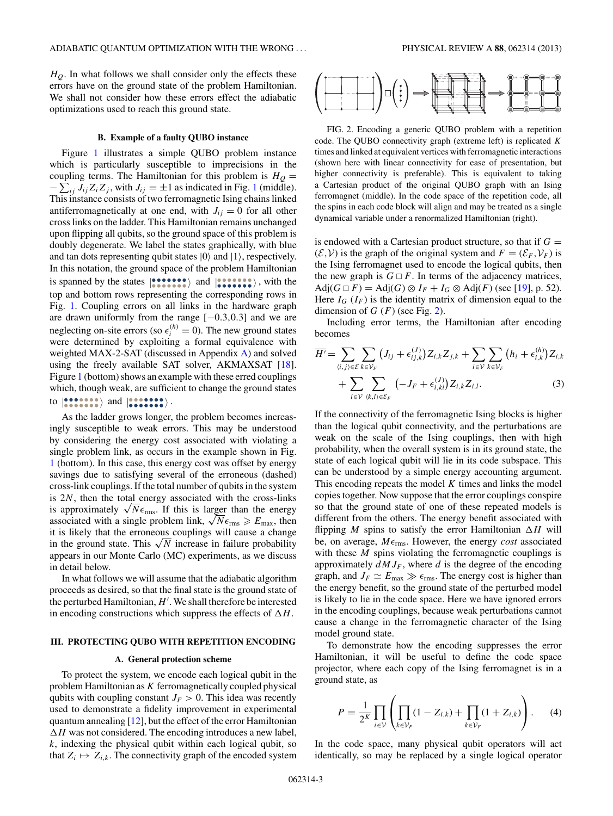<span id="page-2-0"></span> $H<sub>Q</sub>$ . In what follows we shall consider only the effects these errors have on the ground state of the problem Hamiltonian. We shall not consider how these errors effect the adiabatic optimizations used to reach this ground state.

## **B. Example of a faulty QUBO instance**

Figure [1](#page-1-0) illustrates a simple QUBO problem instance which is particularly susceptible to imprecisions in the coupling terms. The Hamiltonian for this problem is  $H<sub>Q</sub>$  =  $-\sum_{ij} J_{ij} Z_i Z_j$ , with  $J_{ij} = \pm 1$  $J_{ij} = \pm 1$  as indicated in Fig. 1 (middle). This instance consists of two ferromagnetic Ising chains linked antiferromagnetically at one end, with  $J_{ij} = 0$  for all other cross links on the ladder. This Hamiltonian remains unchanged upon flipping all qubits, so the ground space of this problem is doubly degenerate. We label the states graphically, with blue and tan dots representing qubit states  $|0\rangle$  and  $|1\rangle$ , respectively. In this notation, the ground space of the problem Hamiltonian is spanned by the states  $|\bullet \bullet \bullet \bullet \bullet \bullet \rangle$  and  $|\bullet \bullet \bullet \bullet \bullet \bullet \rangle$ , with the top and bottom rows representing the corresponding rows in Fig. [1.](#page-1-0) Coupling errors on all links in the hardware graph are drawn uniformly from the range [−0*.*3*,*0*.*3] and we are neglecting on-site errors (so  $\epsilon_i^{(h)} = 0$ ). The new ground states were determined by exploiting a formal equivalence with weighted MAX-2-SAT (discussed in Appendix [A\)](#page-5-0) and solved using the freely available SAT solver, AKMAXSAT [\[18\]](#page-6-0). Figure [1](#page-1-0) (bottom) shows an example with these erred couplings which, though weak, are sufficient to change the ground states to  $\ket{\bullet \bullet \bullet \bullet \bullet \bullet \bullet}$  and  $\ket{\bullet \bullet \bullet \bullet \bullet \bullet \bullet}$ .

As the ladder grows longer, the problem becomes increasingly susceptible to weak errors. This may be understood by considering the energy cost associated with violating a single problem link, as occurs in the example shown in Fig. [1](#page-1-0) (bottom). In this case, this energy cost was offset by energy savings due to satisfying several of the erroneous (dashed) cross-link couplings. If the total number of qubits in the system is 2*N*, then the total energy associated with the cross-links is approximately  $\sqrt{N}\epsilon_{\text{rms}}$ . If this is larger than the energy associated with a single problem link,  $\sqrt{N} \epsilon_{\text{rms}} \ge E_{\text{max}}$ , then it is likely that the erroneous couplings will cause a change in the ground state. This  $\sqrt{N}$  increase in failure probability appears in our Monte Carlo (MC) experiments, as we discuss in detail below.

In what follows we will assume that the adiabatic algorithm proceeds as desired, so that the final state is the ground state of the perturbed Hamiltonian, *H* . We shall therefore be interested in encoding constructions which suppress the effects of  $\Delta H$ .

## **III. PROTECTING QUBO WITH REPETITION ENCODING**

#### **A. General protection scheme**

To protect the system, we encode each logical qubit in the problem Hamiltonian as *K* ferromagnetically coupled physical qubits with coupling constant  $J_F > 0$ . This idea was recently used to demonstrate a fidelity improvement in experimental quantum annealing  $[12]$ , but the effect of the error Hamiltonian  $\Delta H$  was not considered. The encoding introduces a new label, *k*, indexing the physical qubit within each logical qubit, so that  $Z_i \mapsto Z_{i,k}$ . The connectivity graph of the encoded system



FIG. 2. Encoding a generic QUBO problem with a repetition code. The QUBO connectivity graph (extreme left) is replicated *K* times and linked at equivalent vertices with ferromagnetic interactions (shown here with linear connectivity for ease of presentation, but higher connectivity is preferable). This is equivalent to taking a Cartesian product of the original QUBO graph with an Ising ferromagnet (middle). In the code space of the repetition code, all the spins in each code block will align and may be treated as a single dynamical variable under a renormalized Hamiltonian (right).

is endowed with a Cartesian product structure, so that if  $G =$  $(\mathcal{E}, \mathcal{V})$  is the graph of the original system and  $F = (\mathcal{E}_F, \mathcal{V}_F)$  is the Ising ferromagnet used to encode the logical qubits, then the new graph is  $G \square F$ . In terms of the adjacency matrices,  $\text{Adj}(G \square F) = \text{Adj}(G) \otimes I_F + I_G \otimes \text{Adj}(F)$  (see [\[19\]](#page-6-0), p. 52). Here  $I_G(I_F)$  is the identity matrix of dimension equal to the dimension of  $G(F)$  (see Fig. 2).

Including error terms, the Hamiltonian after encoding becomes

$$
\overline{H'} = \sum_{\langle i,j\rangle \in \mathcal{E}} \sum_{k \in \mathcal{V}_F} \left( J_{ij} + \epsilon_{ij,k}^{(J)} \right) Z_{i,k} Z_{j,k} + \sum_{i \in \mathcal{V}} \sum_{k \in \mathcal{V}_F} \left( h_i + \epsilon_{i,k}^{(h)} \right) Z_{i,k} + \sum_{i \in \mathcal{V}} \sum_{\langle k,l\rangle \in \mathcal{E}_F} \left( -J_F + \epsilon_{i,kl}^{(J)} \right) Z_{i,k} Z_{i,l}.
$$
\n(3)

If the connectivity of the ferromagnetic Ising blocks is higher than the logical qubit connectivity, and the perturbations are weak on the scale of the Ising couplings, then with high probability, when the overall system is in its ground state, the state of each logical qubit will lie in its code subspace. This can be understood by a simple energy accounting argument. This encoding repeats the model *K* times and links the model copies together. Now suppose that the error couplings conspire so that the ground state of one of these repeated models is different from the others. The energy benefit associated with flipping *M* spins to satisfy the error Hamiltonian  $\Delta H$  will be, on average,  $M\epsilon_{\text{rms}}$ . However, the energy *cost* associated with these *M* spins violating the ferromagnetic couplings is approximately  $dMJ_F$ , where  $d$  is the degree of the encoding graph, and  $J_F \simeq E_{\text{max}} \gg \epsilon_{\text{rms}}$ . The energy cost is higher than the energy benefit, so the ground state of the perturbed model is likely to lie in the code space. Here we have ignored errors in the encoding couplings, because weak perturbations cannot cause a change in the ferromagnetic character of the Ising model ground state.

To demonstrate how the encoding suppresses the error Hamiltonian, it will be useful to define the code space projector, where each copy of the Ising ferromagnet is in a ground state, as

$$
P = \frac{1}{2^K} \prod_{i \in \mathcal{V}} \left( \prod_{k \in \mathcal{V}_F} (1 - Z_{i,k}) + \prod_{k \in \mathcal{V}_F} (1 + Z_{i,k}) \right). \tag{4}
$$

In the code space, many physical qubit operators will act identically, so may be replaced by a single logical operator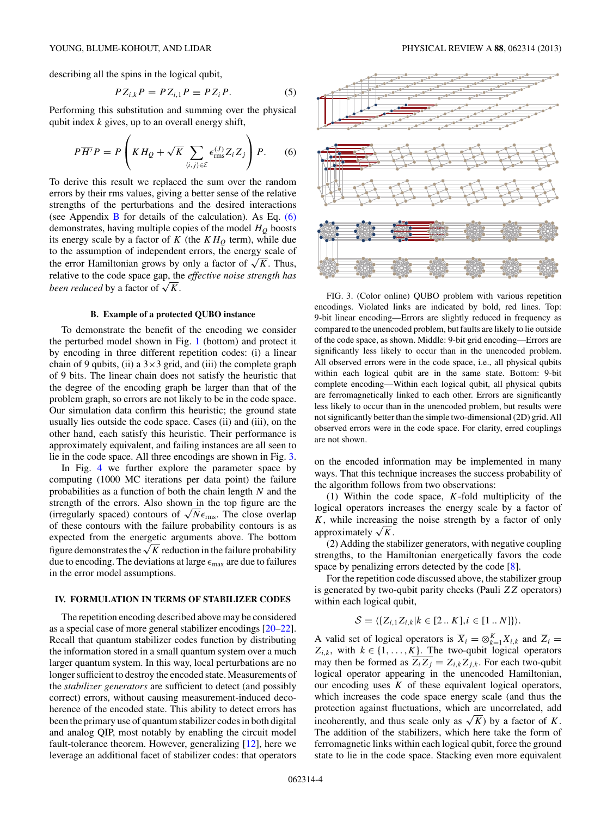<span id="page-3-0"></span>describing all the spins in the logical qubit,

$$
P Z_{i,k} P = P Z_{i,1} P \equiv P Z_i P. \tag{5}
$$

Performing this substitution and summing over the physical qubit index *k* gives, up to an overall energy shift,

$$
P\overline{H'}P = P\left(KH_Q + \sqrt{K}\sum_{\langle i,j\rangle\in\mathcal{E}}\epsilon_{\text{rms}}^{(J)}Z_iZ_j\right)P. \tag{6}
$$

To derive this result we replaced the sum over the random errors by their rms values, giving a better sense of the relative strengths of the perturbations and the desired interactions (see Appendix  $\overline{B}$  $\overline{B}$  $\overline{B}$  for details of the calculation). As Eq. (6) demonstrates, having multiple copies of the model  $H<sub>O</sub>$  boosts its energy scale by a factor of  $K$  (the  $KH<sub>O</sub>$  term), while due to the assumption of independent errors, the energy scale of the error Hamiltonian grows by only a factor of  $\sqrt{K}$ . Thus, relative to the code space gap, the *effective noise strength has been reduced* by a factor of  $\sqrt{K}$ .

#### **B. Example of a protected QUBO instance**

To demonstrate the benefit of the encoding we consider the perturbed model shown in Fig. [1](#page-1-0) (bottom) and protect it by encoding in three different repetition codes: (i) a linear chain of 9 qubits, (ii) a  $3\times3$  grid, and (iii) the complete graph of 9 bits. The linear chain does not satisfy the heuristic that the degree of the encoding graph be larger than that of the problem graph, so errors are not likely to be in the code space. Our simulation data confirm this heuristic; the ground state usually lies outside the code space. Cases (ii) and (iii), on the other hand, each satisfy this heuristic. Their performance is approximately equivalent, and failing instances are all seen to lie in the code space. All three encodings are shown in Fig. 3.

In Fig. [4](#page-4-0) we further explore the parameter space by computing (1000 MC iterations per data point) the failure probabilities as a function of both the chain length *N* and the strength of the errors. Also shown in the top figure are the (irregularly spaced) contours of  $\sqrt{N}\epsilon_{\rm rms}$ . The close overlap of these contours with the failure probability contours is as expected from the energetic arguments above. The bottom figure demonstrates the  $\sqrt{K}$  reduction in the failure probability due to encoding. The deviations at large  $\epsilon_{\text{max}}$  are due to failures in the error model assumptions.

## **IV. FORMULATION IN TERMS OF STABILIZER CODES**

The repetition encoding described above may be considered as a special case of more general stabilizer encodings [\[20–22\]](#page-6-0). Recall that quantum stabilizer codes function by distributing the information stored in a small quantum system over a much larger quantum system. In this way, local perturbations are no longer sufficient to destroy the encoded state. Measurements of the *stabilizer generators* are sufficient to detect (and possibly correct) errors, without causing measurement-induced decoherence of the encoded state. This ability to detect errors has been the primary use of quantum stabilizer codes in both digital and analog QIP, most notably by enabling the circuit model fault-tolerance theorem. However, generalizing [\[12\]](#page-6-0), here we leverage an additional facet of stabilizer codes: that operators



FIG. 3. (Color online) QUBO problem with various repetition encodings. Violated links are indicated by bold, red lines. Top: 9-bit linear encoding—Errors are slightly reduced in frequency as compared to the unencoded problem, but faults are likely to lie outside of the code space, as shown. Middle: 9-bit grid encoding—Errors are significantly less likely to occur than in the unencoded problem. All observed errors were in the code space, i.e., all physical qubits within each logical qubit are in the same state. Bottom: 9-bit complete encoding—Within each logical qubit, all physical qubits are ferromagnetically linked to each other. Errors are significantly less likely to occur than in the unencoded problem, but results were not significantly better than the simple two-dimensional (2D) grid. All observed errors were in the code space. For clarity, erred couplings are not shown.

on the encoded information may be implemented in many ways. That this technique increases the success probability of the algorithm follows from two observations:

(1) Within the code space, *K*-fold multiplicity of the logical operators increases the energy scale by a factor of *K*, while increasing the noise strength by a factor of only approximately  $\sqrt{K}$ .

(2) Adding the stabilizer generators, with negative coupling strengths, to the Hamiltonian energetically favors the code space by penalizing errors detected by the code [\[8\]](#page-6-0).

For the repetition code discussed above, the stabilizer group is generated by two-qubit parity checks (Pauli *ZZ* operators) within each logical qubit,

$$
\mathcal{S} = \langle \{Z_{i,1}Z_{i,k} | k \in [2 \dots K], i \in [1 \dots N] \} \rangle.
$$

A valid set of logical operators is  $\overline{X}_i = \otimes_{k=1}^K X_{i,k}$  and  $\overline{Z}_i =$  $Z_{i,k}$ , with  $k \in \{1, \ldots, K\}$ . The two-qubit logical operators may then be formed as  $\overline{Z_i Z_j} = Z_{i,k} Z_{j,k}$ . For each two-qubit logical operator appearing in the unencoded Hamiltonian, our encoding uses *K* of these equivalent logical operators, which increases the code space energy scale (and thus the protection against fluctuations, which are uncorrelated, add incoherently, and thus scale only as  $\sqrt{K}$ ) by a factor of *K*. The addition of the stabilizers, which here take the form of ferromagnetic links within each logical qubit, force the ground state to lie in the code space. Stacking even more equivalent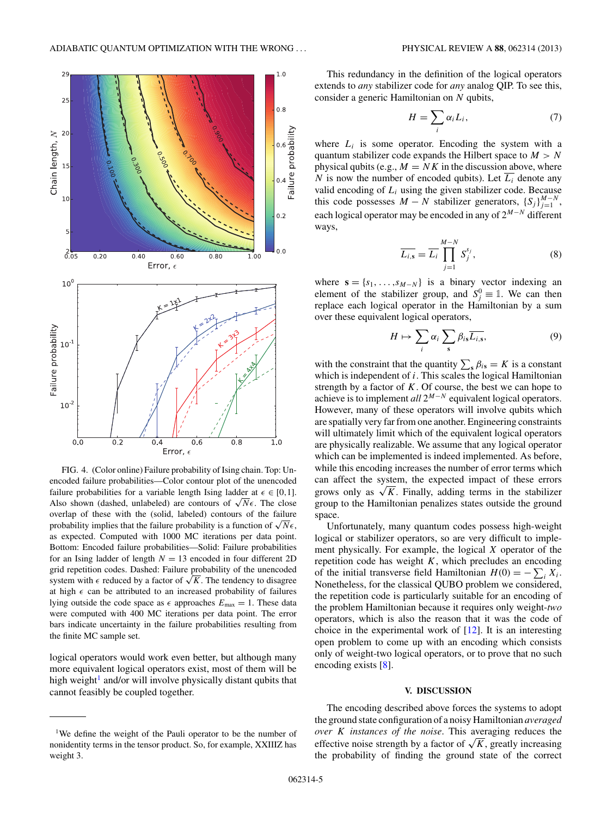<span id="page-4-0"></span>

FIG. 4. (Color online) Failure probability of Ising chain. Top: Unencoded failure probabilities—Color contour plot of the unencoded failure probabilities for a variable length Ising ladder at  $\epsilon \in [0,1]$ . Also shown (dashed, unlabeled) are contours of  $\sqrt{N}\epsilon$ . The close overlap of these with the (solid, labeled) contours of the failure probability implies that the failure probability is a function of  $\sqrt{N}\epsilon$ , as expected. Computed with 1000 MC iterations per data point. Bottom: Encoded failure probabilities—Solid: Failure probabilities for an Ising ladder of length  $N = 13$  encoded in four different 2D grid repetition codes. Dashed: Failure probability of the unencoded system with  $\epsilon$  reduced by a factor of  $\sqrt{K}$ . The tendency to disagree at high  $\epsilon$  can be attributed to an increased probability of failures lying outside the code space as  $\epsilon$  approaches  $E_{\text{max}} = 1$ . These data were computed with 400 MC iterations per data point. The error bars indicate uncertainty in the failure probabilities resulting from the finite MC sample set.

logical operators would work even better, but although many more equivalent logical operators exist, most of them will be high weight<sup>1</sup> and/or will involve physically distant qubits that cannot feasibly be coupled together.

This redundancy in the definition of the logical operators extends to *any* stabilizer code for *any* analog QIP. To see this, consider a generic Hamiltonian on *N* qubits,

$$
H = \sum_{i} \alpha_i L_i, \tag{7}
$$

where  $L_i$  is some operator. Encoding the system with a quantum stabilizer code expands the Hilbert space to *M>N* physical qubits (e.g.,  $M = N K$  in the discussion above, where *N* is now the number of encoded qubits). Let  $\overline{L_i}$  denote any valid encoding of  $L_i$  using the given stabilizer code. Because this code possesses  $M - N$  stabilizer generators,  $\{S_j\}_{j=1}^{M-N}$ , each logical operator may be encoded in any of 2*<sup>M</sup>*−*<sup>N</sup>* different ways,

$$
\overline{L_{i,s}} = \overline{L_i} \prod_{j=1}^{M-N} S_j^{s_j}, \qquad (8)
$$

where  $\mathbf{s} = \{s_1, \ldots, s_{M-N}\}\$ is a binary vector indexing an element of the stabilizer group, and  $S_j^0 \equiv \mathbb{1}$ . We can then replace each logical operator in the Hamiltonian by a sum over these equivalent logical operators,

$$
H \mapsto \sum_{i} \alpha_i \sum_{s} \beta_{is} \overline{L_{i,s}}, \tag{9}
$$

with the constraint that the quantity  $\sum_{s} \beta_{is} = K$  is a constant which is independent of *i*. This scales the logical Hamiltonian strength by a factor of  $K$ . Of course, the best we can hope to achieve is to implement *all* 2*<sup>M</sup>*−*<sup>N</sup>* equivalent logical operators. However, many of these operators will involve qubits which are spatially very far from one another. Engineering constraints will ultimately limit which of the equivalent logical operators are physically realizable. We assume that any logical operator which can be implemented is indeed implemented. As before, while this encoding increases the number of error terms which can affect the system, the expected impact of these errors grows only as  $\sqrt{K}$ . Finally, adding terms in the stabilizer group to the Hamiltonian penalizes states outside the ground space.

Unfortunately, many quantum codes possess high-weight logical or stabilizer operators, so are very difficult to implement physically. For example, the logical *X* operator of the repetition code has weight *K*, which precludes an encoding of the initial transverse field Hamiltonian  $H(0) = -\sum_i X_i$ . Nonetheless, for the classical QUBO problem we considered, the repetition code is particularly suitable for an encoding of the problem Hamiltonian because it requires only weight-*two* operators, which is also the reason that it was the code of choice in the experimental work of  $[12]$ . It is an interesting open problem to come up with an encoding which consists only of weight-two logical operators, or to prove that no such encoding exists [\[8\]](#page-6-0).

#### **V. DISCUSSION**

The encoding described above forces the systems to adopt the ground state configuration of a noisy Hamiltonian *averaged over K instances of the noise*. This averaging reduces the effective noise strength by a factor of  $\sqrt{K}$ , greatly increasing the probability of finding the ground state of the correct

<sup>&</sup>lt;sup>1</sup>We define the weight of the Pauli operator to be the number of nonidentity terms in the tensor product. So, for example, XXIIIZ has weight 3.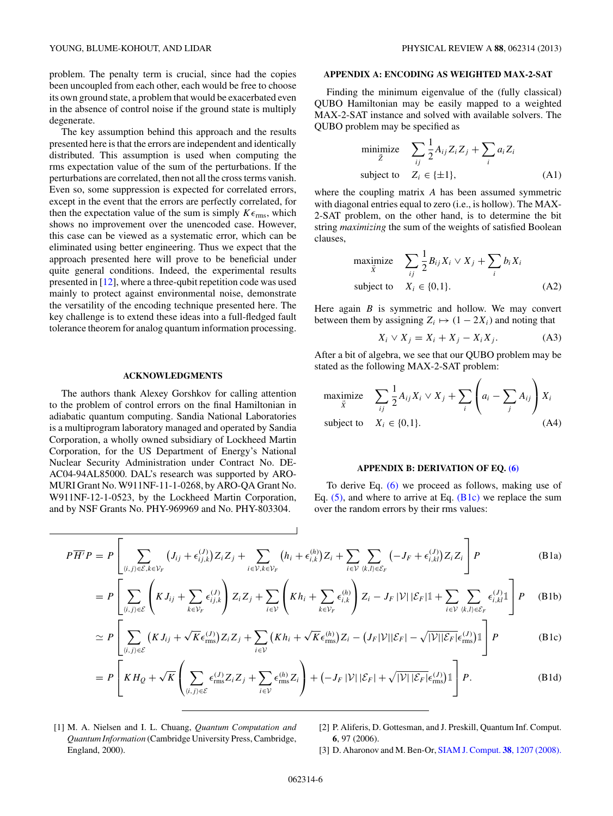<span id="page-5-0"></span>The key assumption behind this approach and the results presented here is that the errors are independent and identically distributed. This assumption is used when computing the rms expectation value of the sum of the perturbations. If the perturbations are correlated, then not all the cross terms vanish. Even so, some suppression is expected for correlated errors, except in the event that the errors are perfectly correlated, for then the expectation value of the sum is simply  $K\epsilon_{\text{rms}}$ , which shows no improvement over the unencoded case. However, this case can be viewed as a systematic error, which can be eliminated using better engineering. Thus we expect that the approach presented here will prove to be beneficial under quite general conditions. Indeed, the experimental results presented in [\[12\]](#page-6-0), where a three-qubit repetition code was used mainly to protect against environmental noise, demonstrate the versatility of the encoding technique presented here. The key challenge is to extend these ideas into a full-fledged fault tolerance theorem for analog quantum information processing.

## **ACKNOWLEDGMENTS**

The authors thank Alexey Gorshkov for calling attention to the problem of control errors on the final Hamiltonian in adiabatic quantum computing. Sandia National Laboratories is a multiprogram laboratory managed and operated by Sandia Corporation, a wholly owned subsidiary of Lockheed Martin Corporation, for the US Department of Energy's National Nuclear Security Administration under Contract No. DE-AC04-94AL85000. DAL's research was supported by ARO-MURI Grant No. W911NF-11-1-0268, by ARO-QA Grant No. W911NF-12-1-0523, by the Lockheed Martin Corporation, and by NSF Grants No. PHY-969969 and No. PHY-803304.

## **APPENDIX A: ENCODING AS WEIGHTED MAX-2-SAT**

Finding the minimum eigenvalue of the (fully classical) QUBO Hamiltonian may be easily mapped to a weighted MAX-2-SAT instance and solved with available solvers. The QUBO problem may be specified as

$$
\begin{array}{ll}\text{minimize} & \sum_{ij} \frac{1}{2} A_{ij} Z_i Z_j + \sum_i a_i Z_i\\ \text{subject to} & Z_i \in \{\pm 1\}, \end{array} \tag{A1}
$$

where the coupling matrix *A* has been assumed symmetric with diagonal entries equal to zero (i.e., is hollow). The MAX-2-SAT problem, on the other hand, is to determine the bit string *maximizing* the sum of the weights of satisfied Boolean clauses,

$$
\begin{array}{ll}\text{maximize} & \sum_{ij} \frac{1}{2} B_{ij} X_i \vee X_j + \sum_i b_i X_i\\ \text{subject to} & X_i \in \{0, 1\}. \end{array} \tag{A2}
$$

Here again *B* is symmetric and hollow. We may convert between them by assigning  $Z_i \mapsto (1 - 2X_i)$  and noting that

$$
X_i \vee X_j = X_i + X_j - X_i X_j. \tag{A3}
$$

After a bit of algebra, we see that our QUBO problem may be stated as the following MAX-2-SAT problem:

maximize 
$$
\sum_{ij} \frac{1}{2} A_{ij} X_i \vee X_j + \sum_i \left( a_i - \sum_j A_{ij} \right) X_i
$$
  
subject to  $X_i \in \{0, 1\}.$  (A4)

## **APPENDIX B: DERIVATION OF EQ. [\(6\)](#page-3-0)**

To derive Eq. [\(6\)](#page-3-0) we proceed as follows, making use of Eq.  $(5)$ , and where to arrive at Eq.  $(B1c)$  we replace the sum over the random errors by their rms values:

$$
P\overline{H'}P = P\left[\sum_{(i,j)\in\mathcal{E},k\in\mathcal{V}_F}\left(J_{ij} + \epsilon_{ij,k}^{(J)}\right)Z_iZ_j + \sum_{i\in\mathcal{V},k\in\mathcal{V}_F}\left(h_i + \epsilon_{i,k}^{(h)}\right)Z_i + \sum_{i\in\mathcal{V}}\sum_{\langle k,l\rangle\in\mathcal{E}_F}\left(-J_F + \epsilon_{i,kl}^{(J)}\right)Z_iZ_i\right]P\tag{B1a}
$$

$$
= P\left[\sum_{\langle i,j\rangle\in\mathcal{E}}\left(KJ_{ij} + \sum_{k\in\mathcal{V}_F}\epsilon_{ij,k}^{(J)}\right)Z_iZ_j + \sum_{i\in\mathcal{V}}\left(Kh_i + \sum_{k\in\mathcal{V}_F}\epsilon_{i,k}^{(h)}\right)Z_i - J_F|\mathcal{V}||\mathcal{E}_F|\mathbb{1} + \sum_{i\in\mathcal{V}}\sum_{\langle k,l\rangle\in\mathcal{E}_F}\epsilon_{i,kl}^{(J)}\mathbb{1}\right]P\tag{B1b}
$$

$$
\simeq P\left[\sum_{(i,j)\in\mathcal{E}}\left(KJ_{ij}+\sqrt{K}\epsilon_{\text{rms}}^{(J)}\right)Z_{i}Z_{j}+\sum_{i\in\mathcal{V}}\left(Kh_{i}+\sqrt{K}\epsilon_{\text{rms}}^{(h)}\right)Z_{i}-\left(J_{F}|\mathcal{V}||\mathcal{E}_{F}|-\sqrt{|\mathcal{V}||\mathcal{E}_{F}}\epsilon_{\text{rms}}^{(J)}\right)\mathbb{1}\right]P
$$
(B1c)

$$
= P\left[KH_Q + \sqrt{K}\left(\sum_{\langle i,j\rangle\in\mathcal{E}}\epsilon_{\text{rms}}^{(J)}Z_iZ_j + \sum_{i\in\mathcal{V}}\epsilon_{\text{rms}}^{(h)}Z_i\right) + \left(-J_F\left|\mathcal{V}\right|\left|\mathcal{E}_F\right| + \sqrt{|\mathcal{V}|\left|\mathcal{E}_F\right|}\epsilon_{\text{rms}}^{(J)}\right)\mathbb{1}\right]P. \tag{B1d}
$$

- [1] M. A. Nielsen and I. L. Chuang, *Quantum Computation and Quantum Information* (Cambridge University Press, Cambridge, England, 2000).
- [2] P. Aliferis, D. Gottesman, and J. Preskill, Quantum Inf. Comput. **6**, 97 (2006).
- [3] D. Aharonov and M. Ben-Or, [SIAM J. Comput.](http://dx.doi.org/10.1137/S0097539799359385) **38**, 1207 (2008).